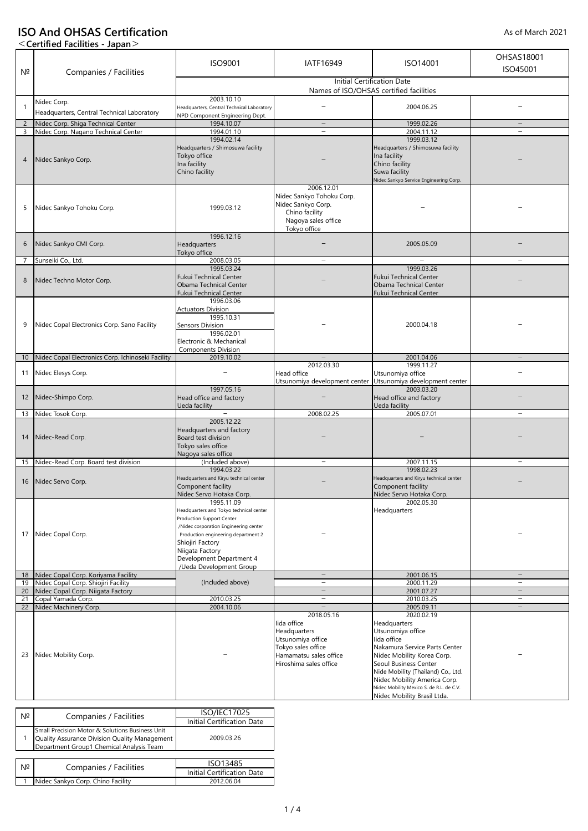# **ISO And OHSAS Certification**

## **<Certified Facilities - Japan>**

|                | $\sim$ continuo racintics bapan-                                         |                                                   |                                                      |                                                             |                          |  |
|----------------|--------------------------------------------------------------------------|---------------------------------------------------|------------------------------------------------------|-------------------------------------------------------------|--------------------------|--|
|                |                                                                          |                                                   |                                                      |                                                             | OHSAS18001               |  |
|                |                                                                          | ISO9001                                           | IATF16949                                            | ISO14001                                                    |                          |  |
| N <sup>2</sup> | Companies / Facilities                                                   | ISO45001                                          |                                                      |                                                             |                          |  |
|                |                                                                          |                                                   |                                                      | <b>Initial Certification Date</b>                           |                          |  |
|                |                                                                          |                                                   |                                                      | Names of ISO/OHSAS certified facilities                     |                          |  |
|                | Nidec Corp.                                                              | 2003.10.10                                        |                                                      |                                                             |                          |  |
| $\mathbf{1}$   | Headquarters, Central Technical Laboratory                               | Headquarters, Central Technical Laboratory        |                                                      | 2004.06.25                                                  |                          |  |
|                |                                                                          | NPD Component Engineering Dept.                   |                                                      |                                                             |                          |  |
| $\overline{2}$ | Nidec Corp. Shiga Technical Center                                       | 1994.10.07                                        | $\overline{\phantom{m}}$                             | 1999.02.26                                                  | $\overline{\phantom{a}}$ |  |
| 3              | Nidec Corp. Nagano Technical Center                                      | 1994.01.10                                        | $\overline{\phantom{m}}$                             | 2004.11.12                                                  | $\overline{\phantom{0}}$ |  |
|                |                                                                          | 1994.02.14                                        |                                                      | 1999.03.12                                                  |                          |  |
|                |                                                                          | Headquarters / Shimosuwa facility<br>Tokyo office |                                                      | Headquarters / Shimosuwa facility                           |                          |  |
| 4              | Nidec Sankyo Corp.                                                       | Ina facility                                      |                                                      | Ina facility                                                |                          |  |
|                |                                                                          | Chino facility                                    |                                                      | Chino facility<br>Suwa facility                             |                          |  |
|                |                                                                          |                                                   |                                                      | Nidec Sankyo Service Engineering Corp.                      |                          |  |
|                |                                                                          |                                                   | 2006.12.01                                           |                                                             |                          |  |
|                |                                                                          |                                                   | Nidec Sankyo Tohoku Corp.                            |                                                             |                          |  |
|                |                                                                          |                                                   | Nidec Sankyo Corp.                                   |                                                             |                          |  |
| 5              | Nidec Sankyo Tohoku Corp.                                                | 1999.03.12                                        | Chino facility                                       |                                                             |                          |  |
|                |                                                                          |                                                   | Nagoya sales office                                  |                                                             |                          |  |
|                |                                                                          |                                                   | Tokyo office                                         |                                                             |                          |  |
|                |                                                                          | 1996.12.16                                        |                                                      |                                                             |                          |  |
| 6              | Nidec Sankyo CMI Corp.                                                   | Headquarters                                      |                                                      | 2005.05.09                                                  |                          |  |
|                |                                                                          | Tokyo office                                      |                                                      |                                                             |                          |  |
| 7              | Sunseiki Co., Ltd.                                                       | 2008.03.05                                        | $\overline{\phantom{0}}$                             | $\overline{\phantom{m}}$                                    |                          |  |
|                |                                                                          | 1995.03.24                                        |                                                      | 1999.03.26                                                  |                          |  |
| 8              | Nidec Techno Motor Corp.                                                 | <b>Fukui Technical Center</b>                     |                                                      | <b>Fukui Technical Center</b>                               |                          |  |
|                |                                                                          | Obama Technical Center                            |                                                      | Obama Technical Center                                      |                          |  |
|                |                                                                          | <b>Fukui Technical Center</b>                     |                                                      | <b>Fukui Technical Center</b>                               |                          |  |
|                |                                                                          | 1996.03.06                                        |                                                      |                                                             |                          |  |
|                |                                                                          | <b>Actuators Division</b>                         |                                                      |                                                             |                          |  |
| 9              | Nidec Copal Electronics Corp. Sano Facility                              | 1995.10.31                                        |                                                      | 2000.04.18                                                  |                          |  |
|                |                                                                          | Sensors Division<br>1996.02.01                    |                                                      |                                                             |                          |  |
|                |                                                                          | Electronic & Mechanical                           |                                                      |                                                             |                          |  |
|                |                                                                          | <b>Components Division</b>                        |                                                      |                                                             |                          |  |
| 10             | Nidec Copal Electronics Corp. Ichinoseki Facility                        | 2019.10.02                                        |                                                      | 2001.04.06                                                  |                          |  |
|                |                                                                          |                                                   | 2012.03.30                                           | 1999.11.27                                                  |                          |  |
| 11             | Nidec Elesys Corp.                                                       |                                                   | Head office                                          | Utsunomiya office                                           |                          |  |
|                |                                                                          |                                                   |                                                      | Utsunomiya development center Utsunomiya development center |                          |  |
|                |                                                                          | 1997.05.16                                        |                                                      | 2003.03.20                                                  |                          |  |
| 12             | Nidec-Shimpo Corp.                                                       | Head office and factory                           |                                                      | Head office and factory                                     |                          |  |
|                |                                                                          | Ueda facility                                     |                                                      | Ueda facility                                               |                          |  |
| 13             | Nidec Tosok Corp.                                                        | $\overline{\phantom{m}}$                          | 2008.02.25                                           | 2005.07.01                                                  |                          |  |
|                |                                                                          | 2005.12.22                                        |                                                      |                                                             |                          |  |
|                |                                                                          | Headquarters and factory                          |                                                      |                                                             |                          |  |
| 14             | Nidec-Read Corp.                                                         | Board test division                               |                                                      |                                                             |                          |  |
|                |                                                                          | Tokyo sales office<br>Nagoya sales office         |                                                      |                                                             |                          |  |
| 15             |                                                                          | (Included above)                                  |                                                      | 2007.11.15                                                  |                          |  |
|                | Nidec-Read Corp. Board test division                                     | 1994.03.22                                        |                                                      | 1998.02.23                                                  |                          |  |
|                |                                                                          | Headquarters and Kiryu technical center           |                                                      | Headquarters and Kiryu technical center                     |                          |  |
| 16             | Nidec Servo Corp.                                                        | Component facility                                |                                                      | Component facility                                          |                          |  |
|                |                                                                          | Nidec Servo Hotaka Corp.                          |                                                      | Nidec Servo Hotaka Corp.                                    |                          |  |
|                |                                                                          | 1995.11.09                                        |                                                      | 2002.05.30                                                  |                          |  |
|                |                                                                          | Headquarters and Tokyo technical center           |                                                      | Headquarters                                                |                          |  |
|                |                                                                          | Production Support Center                         |                                                      |                                                             |                          |  |
|                |                                                                          | /Nidec corporation Engineering center             |                                                      |                                                             |                          |  |
| 17             | Nidec Copal Corp.                                                        | Production engineering department 2               |                                                      |                                                             |                          |  |
|                |                                                                          | Shiojiri Factory                                  |                                                      |                                                             |                          |  |
|                |                                                                          | Niigata Factory                                   |                                                      |                                                             |                          |  |
|                |                                                                          | Development Department 4                          |                                                      |                                                             |                          |  |
|                |                                                                          | /Ueda Development Group                           |                                                      |                                                             |                          |  |
| 18             | Nidec Copal Corp. Koriyama Facility                                      |                                                   | $\overline{\phantom{0}}$<br>$\overline{\phantom{m}}$ | 2001.06.15                                                  | $\overline{\phantom{a}}$ |  |
| 19<br>20       | Nidec Copal Corp. Shiojiri Facility<br>Nidec Copal Corp. Niigata Factory | (Included above)                                  |                                                      | 2000.11.29<br>2001.07.27                                    | $-$                      |  |
| 21             | Copal Yamada Corp.                                                       | 2010.03.25                                        | $\overline{\phantom{m}}$                             | 2010.03.25                                                  | $\overline{\phantom{m}}$ |  |
| 22             | Nidec Machinery Corp.                                                    | 2004.10.06                                        |                                                      | 2005.09.11                                                  | $\overline{\phantom{m}}$ |  |
|                |                                                                          |                                                   | 2018.05.16                                           | 2020.02.19                                                  |                          |  |
|                | Nidec Mobility Corp.                                                     |                                                   | lida office                                          | Headquarters                                                |                          |  |
|                |                                                                          |                                                   | Headquarters                                         | Utsunomiya office                                           |                          |  |
|                |                                                                          |                                                   | Utsunomiya office                                    | lida office                                                 |                          |  |
|                |                                                                          |                                                   | Tokyo sales office                                   | Nakamura Service Parts Center                               |                          |  |
| 23             |                                                                          |                                                   | Hamamatsu sales office                               | Nidec Mobility Korea Corp.                                  |                          |  |
|                |                                                                          |                                                   | Hiroshima sales office                               | Seoul Business Center                                       |                          |  |
|                |                                                                          |                                                   |                                                      | Nide Mobility (Thailand) Co., Ltd.                          |                          |  |
|                |                                                                          |                                                   |                                                      | Nidec Mobility America Corp.                                |                          |  |
|                |                                                                          |                                                   |                                                      | Nidec Mobility Mexico S. de R.L. de C.V.                    |                          |  |
|                |                                                                          |                                                   |                                                      | Nidec Mobility Brasil Ltda.                                 |                          |  |

| Nº | Companies / Facilities                                                                                                                       | <b>ISO/IEC17025</b>               |  |
|----|----------------------------------------------------------------------------------------------------------------------------------------------|-----------------------------------|--|
|    |                                                                                                                                              | <b>Initial Certification Date</b> |  |
|    | Small Precision Motor & Solutions Business Unit<br>Quality Assurance Division Quality Management<br>Department Group1 Chemical Analysis Team | 2009.03.26                        |  |
|    |                                                                                                                                              |                                   |  |
| Nº | Companies / Facilities                                                                                                                       | ISO13485                          |  |
|    |                                                                                                                                              | <b>Initial Certification Date</b> |  |
|    | Nidec Sankyo Corp. Chino Facility                                                                                                            | 2012.06.04                        |  |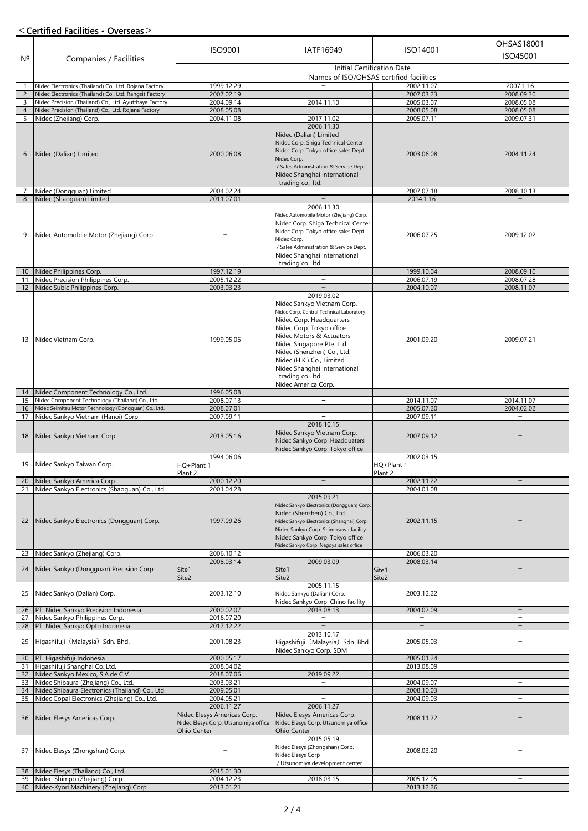### **<Certified Facilities - Overseas>**

| $N^{\circ}$         | Companies / Facilities                                                      | ISO9001                                                                                                        | IATF16949                                                                                                                                                                                                                                                                                                                      | ISO14001                            | OHSAS18001<br>ISO45001                               |  |
|---------------------|-----------------------------------------------------------------------------|----------------------------------------------------------------------------------------------------------------|--------------------------------------------------------------------------------------------------------------------------------------------------------------------------------------------------------------------------------------------------------------------------------------------------------------------------------|-------------------------------------|------------------------------------------------------|--|
|                     |                                                                             |                                                                                                                | <b>Initial Certification Date</b><br>Names of ISO/OHSAS certified facilities                                                                                                                                                                                                                                                   |                                     |                                                      |  |
| 1                   | Nidec Electronics (Thailand) Co., Ltd. Rojana Factory                       | 1999.12.29                                                                                                     |                                                                                                                                                                                                                                                                                                                                | 2002.11.07                          | 2007.1.16                                            |  |
| $\overline{2}$      | Nidec Electronics (Thailand) Co., Ltd. Rangsit Factory                      | 2007.02.19                                                                                                     |                                                                                                                                                                                                                                                                                                                                | 2007.03.23                          | 2008.09.30                                           |  |
| 3                   | Nidec Precision (Thailand) Co., Ltd. Ayutthaya Factory                      | 2004.09.14                                                                                                     | 2014.11.10                                                                                                                                                                                                                                                                                                                     | 2005.03.07                          | 2008.05.08                                           |  |
| $\overline{4}$<br>5 | Nidec Precision (Thailand) Co., Ltd. Rojana Factory                         | 2008.05.08<br>2004.11.08                                                                                       | 2017.11.02                                                                                                                                                                                                                                                                                                                     | 2008.05.08<br>2005.07.11            | 2008.05.08<br>2009.07.31                             |  |
|                     | Nidec (Zhejiang) Corp.                                                      |                                                                                                                | 2006.11.30                                                                                                                                                                                                                                                                                                                     |                                     |                                                      |  |
| 6                   | Nidec (Dalian) Limited                                                      | 2000.06.08                                                                                                     | Nidec (Dalian) Limited<br>Nidec Corp. Shiga Technical Center<br>Nidec Corp. Tokyo office sales Dept<br>Nidec Corp.<br>/ Sales Administration & Service Dept.<br>Nidec Shanghai international                                                                                                                                   | 2003.06.08                          | 2004.11.24                                           |  |
|                     | Nidec (Dongguan) Limited                                                    | 2004.02.24                                                                                                     | trading co., ltd.<br>$\overline{\phantom{0}}$                                                                                                                                                                                                                                                                                  | 2007.07.18                          | 2008.10.13                                           |  |
| 8                   | Nidec (Shaoguan) Limited                                                    | 2011.07.01                                                                                                     |                                                                                                                                                                                                                                                                                                                                | 2014.1.16                           |                                                      |  |
| 9                   | Nidec Automobile Motor (Zhejiang) Corp.                                     |                                                                                                                | 2006.11.30<br>Nidec Automobile Motor (Zhejiang) Corp.<br>Nidec Corp. Shiga Technical Center<br>Nidec Corp. Tokyo office sales Dept<br>Nidec Corp.<br>/ Sales Administration & Service Dept.                                                                                                                                    | 2006.07.25                          | 2009.12.02                                           |  |
|                     |                                                                             |                                                                                                                | Nidec Shanghai international<br>trading co., ltd.                                                                                                                                                                                                                                                                              |                                     |                                                      |  |
| 10                  | Nidec Philippines Corp.                                                     | 1997.12.19                                                                                                     |                                                                                                                                                                                                                                                                                                                                | 1999.10.04                          | 2008.09.10                                           |  |
| 11                  | Nidec Precision Philippines Corp.                                           | 2005.12.22                                                                                                     | $\overline{\phantom{0}}$                                                                                                                                                                                                                                                                                                       | 2006.07.19                          | 2008.07.28                                           |  |
| 12                  | Nidec Subic Philippines Corp.                                               | 2003.03.23                                                                                                     | 2019.03.02                                                                                                                                                                                                                                                                                                                     | 2004.10.07                          | 2008.11.07                                           |  |
| 13                  | Nidec Vietnam Corp.                                                         | 1999.05.06                                                                                                     | Nidec Sankyo Vietnam Corp.<br>Nidec Corp. Central Technical Laboratory<br>Nidec Corp. Headquarters<br>Nidec Corp. Tokyo office<br>Nidec Motors & Actuators<br>Nidec Singapore Pte. Ltd.<br>Nidec (Shenzhen) Co., Ltd.<br>Nidec (H.K.) Co., Limited<br>Nidec Shanghai international<br>trading co., ltd.<br>Nidec America Corp. | 2001.09.20                          | 2009.07.21                                           |  |
| 14                  | Nidec Component Technology Co., Ltd.                                        | 1996.05.08                                                                                                     |                                                                                                                                                                                                                                                                                                                                |                                     |                                                      |  |
| 15                  | Nidec Component Technology (Thailand) Co., Ltd.                             | 2008.07.13                                                                                                     | $\overline{\phantom{0}}$                                                                                                                                                                                                                                                                                                       | 2014.11.07                          | 2014.11.07                                           |  |
| 16                  | Nidec Seimitsu Motor Technology (Dongguan) Co., Ltd.                        | 2008.07.01                                                                                                     | $\overline{\phantom{0}}$                                                                                                                                                                                                                                                                                                       | 2005.07.20                          | 2004.02.02                                           |  |
| 17                  | Nidec Sankyo Vietnam (Hanoi) Corp.                                          | 2007.09.11                                                                                                     | $\overline{\phantom{m}}$                                                                                                                                                                                                                                                                                                       | 2007.09.11                          | $\overline{\phantom{0}}$                             |  |
| 18                  | Nidec Sankyo Vietnam Corp.                                                  | 2013.05.16                                                                                                     | 2018.10.15<br>Nidec Sankyo Vietnam Corp.<br>Nidec Sankyo Corp. Headquaters<br>Nidec Sankyo Corp. Tokyo office                                                                                                                                                                                                                  | 2007.09.12                          |                                                      |  |
| 19                  | Nidec Sankyo Taiwan Corp.                                                   | 1994.06.06<br>HQ+Plant 1<br>Plant 2                                                                            |                                                                                                                                                                                                                                                                                                                                | 2002.03.15<br>HQ+Plant 1<br>Plant 2 |                                                      |  |
| 20                  | Nidec Sankyo America Corp.                                                  | 2000.12.20                                                                                                     |                                                                                                                                                                                                                                                                                                                                | 2002.11.22                          |                                                      |  |
| 21                  | Nidec Sankyo Electronics (Shaoguan) Co., Ltd.                               | 2001.04.28                                                                                                     |                                                                                                                                                                                                                                                                                                                                | 2004.01.08                          |                                                      |  |
| 22                  | Nidec Sankyo Electronics (Dongguan) Corp.                                   | 1997.09.26                                                                                                     | 2015.09.21<br>Nidec Sankyo Electronics (Dongguan) Corp.<br>Nidec (Shenzhen) Co., Ltd.<br>Nidec Sankyo Electronics (Shanghai) Corp.<br>Nidec Sankyo Corp. Shimosuwa facility<br>Nidec Sankyo Corp. Tokyo office<br>Nidec Sankyo Corp. Nagoya sales office                                                                       | 2002.11.15                          |                                                      |  |
| 23                  | Nidec Sankyo (Zhejiang) Corp.                                               | 2006.10.12                                                                                                     |                                                                                                                                                                                                                                                                                                                                | 2006.03.20                          | $\overline{\phantom{m}}$                             |  |
| 24                  | Nidec Sankyo (Dongguan) Precision Corp.                                     | 2008.03.14<br>Site1<br>Site2                                                                                   | 2009.03.09<br>Site1<br>Site2                                                                                                                                                                                                                                                                                                   | 2008.03.14<br>Site1<br>Site2        |                                                      |  |
| 25                  | Nidec Sankyo (Dalian) Corp.                                                 | 2003.12.10                                                                                                     | 2005.11.15<br>Nidec Sankyo (Dalian) Corp.                                                                                                                                                                                                                                                                                      | 2003.12.22                          |                                                      |  |
|                     |                                                                             | 2000.02.07                                                                                                     | Nidec Sankyo Corp. Chino facility<br>2013.08.13                                                                                                                                                                                                                                                                                | 2004.02.09                          | $\overline{\phantom{m}}$                             |  |
| 26<br>27            | PT. Nidec Sankyo Precision Indonesia<br>Nidec Sankyo Philippines Corp.      | 2016.07.20                                                                                                     | $\overline{\phantom{a}}$                                                                                                                                                                                                                                                                                                       | $\overline{\phantom{a}}$            | $\overline{\phantom{m}}$                             |  |
| 28                  | PT. Nidec Sankyo Opto Indonesia                                             | 2017.12.22                                                                                                     |                                                                                                                                                                                                                                                                                                                                |                                     |                                                      |  |
| 29                  | Higashifuji (Malaysia) Sdn. Bhd.                                            | 2001.08.23                                                                                                     | 2013.10.17<br>Higashifuji (Malaysia) Sdn. Bhd.<br>Nidec Sankyo Corp. SDM                                                                                                                                                                                                                                                       | 2005.05.03                          |                                                      |  |
| 30                  | PT. Higashifuji Indonesia                                                   | 2000.05.17                                                                                                     |                                                                                                                                                                                                                                                                                                                                | 2005.01.24                          | $\overline{\phantom{0}}$                             |  |
| 31                  | Higashifuji Shanghai Co., Ltd.                                              | 2008.04.02                                                                                                     | $\overline{\phantom{m}}$                                                                                                                                                                                                                                                                                                       | 2013.08.09                          | $\overline{\phantom{0}}$                             |  |
| 32                  | Nidec Sankyo Mexico, S.A.de C.V                                             | 2018.07.06                                                                                                     | 2019.09.22                                                                                                                                                                                                                                                                                                                     |                                     |                                                      |  |
| 33                  | Nidec Shibaura (Zhejiang) Co., Ltd.                                         | 2003.03.21                                                                                                     | $\overline{\phantom{m}}$                                                                                                                                                                                                                                                                                                       | 2004.09.07                          | $\overline{\phantom{0}}$                             |  |
| 34                  | Nidec Shibaura Electronics (Thailand) Co., Ltd.                             | 2009.05.01                                                                                                     | $\overline{\phantom{0}}$<br>$\overline{\phantom{m}}$                                                                                                                                                                                                                                                                           | 2008.10.03                          | $\overline{\phantom{m}}$<br>$\overline{\phantom{m}}$ |  |
| 35<br>36            | Nidec Copal Electronics (Zhejiang) Co., Ltd.<br>Nidec Elesys Americas Corp. | 2004.05.21<br>2006.11.27<br>Nidec Elesys Americas Corp.<br>Nidec Elesys Corp. Utsunomiya office<br>Ohio Center | 2006.11.27<br>Nidec Elesys Americas Corp.<br>Nidec Elesys Corp. Utsunomiya office<br><b>Ohio Center</b>                                                                                                                                                                                                                        | 2004.09.03<br>2008.11.22            |                                                      |  |
| 37                  | Nidec Elesys (Zhongshan) Corp.                                              |                                                                                                                | 2015.05.19<br>Nidec Elesys (Zhongshan) Corp.<br>Nidec Elesys Corp<br>/ Utsunomiya development center                                                                                                                                                                                                                           | 2008.03.20                          |                                                      |  |
| 38                  | Nidec Elesys (Thailand) Co., Ltd.                                           | 2015.01.30                                                                                                     |                                                                                                                                                                                                                                                                                                                                |                                     | $\overline{\phantom{0}}$                             |  |
| 39                  | Nidec-Shimpo (Zhejiang) Corp.<br>40 Nidec-Kyori Machinery (Zhejiang) Corp.  | 2004.12.23<br>2013.01.21                                                                                       | 2018.03.15                                                                                                                                                                                                                                                                                                                     | 2005.12.05<br>2013.12.26            |                                                      |  |
|                     |                                                                             |                                                                                                                |                                                                                                                                                                                                                                                                                                                                |                                     |                                                      |  |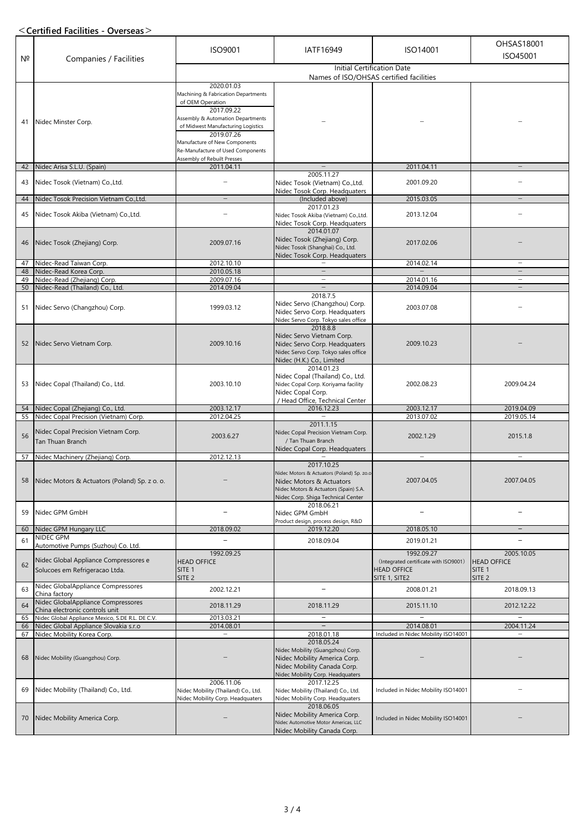### **<Certified Facilities - Overseas>**

| N <sup>2</sup> | Companies / Facilities                                                                | ISO9001                                                                                                                                                                                                                                                                           | IATF16949                                                                                                                                                           | ISO14001                                                                                   | OHSAS18001<br>ISO45001                                                     |
|----------------|---------------------------------------------------------------------------------------|-----------------------------------------------------------------------------------------------------------------------------------------------------------------------------------------------------------------------------------------------------------------------------------|---------------------------------------------------------------------------------------------------------------------------------------------------------------------|--------------------------------------------------------------------------------------------|----------------------------------------------------------------------------|
|                |                                                                                       | Initial Certification Date<br>Names of ISO/OHSAS certified facilities                                                                                                                                                                                                             |                                                                                                                                                                     |                                                                                            |                                                                            |
| 41             | Nidec Minster Corp.                                                                   | 2020.01.03<br>Machining & Fabrication Departments<br>of OEM Operation<br>2017.09.22<br>Assembly & Automation Departments<br>of Midwest Manufacturing Logistics<br>2019.07.26<br>Manufacture of New Components<br>Re-Manufacture of Used Components<br>Assembly of Rebuilt Presses |                                                                                                                                                                     |                                                                                            |                                                                            |
| 42             | Nidec Arisa S.L.U. (Spain)                                                            | 2011.04.11                                                                                                                                                                                                                                                                        |                                                                                                                                                                     | 2011.04.11                                                                                 |                                                                            |
| 43             | Nidec Tosok (Vietnam) Co., Ltd.                                                       | $\overline{\phantom{0}}$                                                                                                                                                                                                                                                          | 2005.11.27<br>Nidec Tosok (Vietnam) Co., Ltd.<br>Nidec Tosok Corp. Headquaters                                                                                      | 2001.09.20                                                                                 |                                                                            |
| 44             | Nidec Tosok Precision Vietnam Co., Ltd.                                               |                                                                                                                                                                                                                                                                                   | (Included above)                                                                                                                                                    | 2015.03.05                                                                                 |                                                                            |
| 45             | Nidec Tosok Akiba (Vietnam) Co., Ltd.                                                 |                                                                                                                                                                                                                                                                                   | 2017.01.23<br>Nidec Tosok Akiba (Vietnam) Co.,Ltd.<br>Nidec Tosok Corp. Headquaters                                                                                 | 2013.12.04                                                                                 |                                                                            |
| 46             | Nidec Tosok (Zhejiang) Corp.                                                          | 2009.07.16                                                                                                                                                                                                                                                                        | 2014.01.07<br>Nidec Tosok (Zhejiang) Corp.<br>Nidec Tosok (Shanghai) Co., Ltd.<br>Nidec Tosok Corp. Headquaters                                                     | 2017.02.06                                                                                 |                                                                            |
| 47             | Nidec-Read Taiwan Corp.                                                               | 2012.10.10                                                                                                                                                                                                                                                                        |                                                                                                                                                                     | 2014.02.14                                                                                 | $\overline{\phantom{m}}$                                                   |
| 48<br>49       | Nidec-Read Korea Corp.                                                                | 2010.05.18<br>2009.07.16                                                                                                                                                                                                                                                          | $\overline{\phantom{m}}$                                                                                                                                            | 2014.01.16                                                                                 |                                                                            |
| 50             | Nidec-Read (Zhejiang) Corp.<br>Nidec-Read (Thailand) Co., Ltd.                        | 2014.09.04                                                                                                                                                                                                                                                                        |                                                                                                                                                                     | 2014.09.04                                                                                 |                                                                            |
| 51             | Nidec Servo (Changzhou) Corp.                                                         | 1999.03.12                                                                                                                                                                                                                                                                        | 2018.7.5<br>Nidec Servo (Changzhou) Corp.<br>Nidec Servo Corp. Headquaters<br>Nidec Servo Corp. Tokyo sales office                                                  | 2003.07.08                                                                                 |                                                                            |
| 52             | Nidec Servo Vietnam Corp.                                                             | 2009.10.16                                                                                                                                                                                                                                                                        | 2018.8.8<br>Nidec Servo Vietnam Corp.<br>Nidec Servo Corp. Headquaters<br>Nidec Servo Corp. Tokyo sales office<br>Nidec (H.K.) Co., Limited                         | 2009.10.23                                                                                 |                                                                            |
| 53             | Nidec Copal (Thailand) Co., Ltd.                                                      | 2003.10.10                                                                                                                                                                                                                                                                        | 2014.01.23<br>Nidec Copal (Thailand) Co., Ltd.<br>Nidec Copal Corp. Koriyama facility<br>Nidec Copal Corp.<br>/ Head Office, Technical Center                       | 2002.08.23                                                                                 | 2009.04.24                                                                 |
| 54             | Nidec Copal (Zhejiang) Co., Ltd.                                                      | 2003.12.17                                                                                                                                                                                                                                                                        | 2016.12.23                                                                                                                                                          | 2003.12.17                                                                                 | 2019.04.09                                                                 |
| 55             | Nidec Copal Precision (Vietnam) Corp.                                                 | 2012.04.25                                                                                                                                                                                                                                                                        | 2011.1.15                                                                                                                                                           | 2013.07.02                                                                                 | 2019.05.14                                                                 |
| 56             | Nidec Copal Precision Vietnam Corp.<br><b>Tan Thuan Branch</b>                        | 2003.6.27                                                                                                                                                                                                                                                                         | Nidec Copal Precision Vietnam Corp.<br>/ Tan Thuan Branch<br>Nidec Copal Corp. Headquaters                                                                          | 2002.1.29                                                                                  | 2015.1.8                                                                   |
| 57             | Nidec Machinery (Zhejiang) Corp.                                                      | 2012.12.13                                                                                                                                                                                                                                                                        |                                                                                                                                                                     | $\qquad \qquad -$                                                                          |                                                                            |
| 58             | Nidec Motors & Actuators (Poland) Sp. z o. o.                                         |                                                                                                                                                                                                                                                                                   | 2017.10.25<br>Nidec Motors & Actuators (Poland) Sp. zo.o<br>Nidec Motors & Actuators<br>Nidec Motors & Actuators (Spain) S.A.<br>Nidec Corp. Shiga Technical Center | 2007.04.05                                                                                 | 2007.04.05                                                                 |
| 59             | Nidec GPM GmbH                                                                        |                                                                                                                                                                                                                                                                                   | 2018.06.21<br>Nidec GPM GmbH<br>Product design, process design, R&D                                                                                                 |                                                                                            |                                                                            |
| 60             | Nidec GPM Hungary LLC                                                                 | 2018.09.02                                                                                                                                                                                                                                                                        | 2019.12.20                                                                                                                                                          | 2018.05.10                                                                                 | $\overline{\phantom{a}}$                                                   |
| 61             | NIDEC GPM<br>Automotive Pumps (Suzhou) Co. Ltd.                                       |                                                                                                                                                                                                                                                                                   | 2018.09.04                                                                                                                                                          | 2019.01.21                                                                                 |                                                                            |
| 62             | Nidec Global Appliance Compressores e<br>Solucoes em Refrigeracao Ltda.               | 1992.09.25<br><b>HEAD OFFICE</b><br>SITE <sub>1</sub><br>SITE <sub>2</sub>                                                                                                                                                                                                        |                                                                                                                                                                     | 1992.09.27<br>(Integrated certificate with ISO9001)<br><b>HEAD OFFICE</b><br>SITE 1, SITE2 | 2005.10.05<br><b>HEAD OFFICE</b><br>SITE <sub>1</sub><br>SITE <sub>2</sub> |
| 63             | Nidec GlobalAppliance Compressores                                                    | 2002.12.21                                                                                                                                                                                                                                                                        | $\overline{\phantom{a}}$                                                                                                                                            | 2008.01.21                                                                                 | 2018.09.13                                                                 |
| 64             | China factory<br>Nidec GlobalAppliance Compressores<br>China electronic controls unit | 2018.11.29                                                                                                                                                                                                                                                                        | 2018.11.29                                                                                                                                                          | 2015.11.10                                                                                 | 2012.12.22                                                                 |
| 65             | Nidec Global Appliance Mexico, S.DE R.L. DE C.V.                                      | 2013.03.21                                                                                                                                                                                                                                                                        | $\qquad \qquad -$                                                                                                                                                   |                                                                                            |                                                                            |
| 66             | Nidec Global Appliance Slovakia s.r.o                                                 | 2014.08.01                                                                                                                                                                                                                                                                        |                                                                                                                                                                     | 2014.08.01                                                                                 | 2004.11.24                                                                 |
| 67<br>68       | Nidec Mobility Korea Corp.<br>Nidec Mobility (Guangzhou) Corp.                        | $\overline{\phantom{m}}$                                                                                                                                                                                                                                                          | 2018.01.18<br>2018.05.24<br>Nidec Mobility (Guangzhou) Corp.<br>Nidec Mobility America Corp.<br>Nidec Mobility Canada Corp.<br>Nidec Mobility Corp. Headquaters     | Included in Nidec Mobility ISO14001                                                        |                                                                            |
| 69             | Nidec Mobility (Thailand) Co., Ltd.                                                   | 2006.11.06<br>Nidec Mobility (Thailand) Co., Ltd.<br>Nidec Mobility Corp. Headquaters                                                                                                                                                                                             | 2017.12.25<br>Nidec Mobility (Thailand) Co., Ltd.<br>Nidec Mobility Corp. Headquaters                                                                               | Included in Nidec Mobility ISO14001                                                        |                                                                            |
| 70             | Nidec Mobility America Corp.                                                          |                                                                                                                                                                                                                                                                                   | 2018.06.05<br>Nidec Mobility America Corp.<br>Nidec Automotive Motor Americas, LLC<br>Nidec Mobility Canada Corp.                                                   | Included in Nidec Mobility ISO14001                                                        |                                                                            |